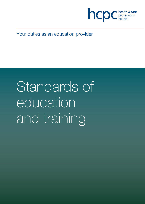

Your duties as an education provider

# Standards of education and training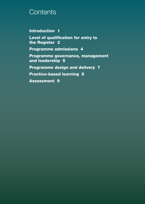#### **Contents**

#### Introduction 1

Level of qualification for entry to the Register 2

Programme admissions 4

Programme governance, management and leadership 5

Programme design and delivery 7

Practice-based learning 8

Assessment 9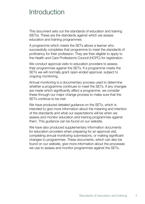#### Introduction

This document sets out the standards of education and training (SETs). These are the standards against which we assess education and training programmes.

A programme which meets the SETs allows a learner who successfully completes that programme to meet the standards of proficiency for their profession. They are then eligible to apply to the Health and Care Professions Council (HCPC) for registration.

We conduct approval visits to education providers to assess their programmes against the SETs. If a programme meets the SETs we will normally grant open-ended approval, subject to ongoing monitoring.

Annual monitoring is a documentary process used to determine whether a programme continues to meet the SETs. If any changes are made which significantly affect a programme, we consider these through our major change process to make sure that the SETs continue to be met.

We have produced detailed guidance on the SETs, which is intended to give more information about the meaning and intention of the standards and what our expectations will be when we assess and monitor education and training programmes against them. This guidance can be found on our website.

We have also produced supplementary information documents for education providers when preparing for an approval visit, completing annual monitoring submissions, or making significant changes to programmes. These documents, which can also be found on our website, give more information about the processes we use to assess and monitor programmes against the SETs.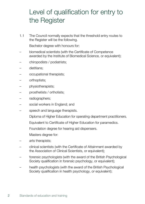# Level of qualification for entry to the Register

1.1 The Council normally expects that the threshold entry routes to the Register will be the following.

Bachelor degree with honours for:

- biomedical scientists (with the Certificate of Competence awarded by the Institute of Biomedical Science, or equivalent);
- chiropodists / podiatrists;
- dietitians;
- occupational therapists;
- orthoptists;
- physiotherapists;
- prosthetists / orthotists;
- radiographers;
- social workers in England; and
- speech and language therapists.

Diploma of Higher Education for operating department practitioners.

Equivalent to Certificate of Higher Education for paramedics.

Foundation degree for hearing aid dispensers.

Masters degree for:

- arts therapists;
- clinical scientists (with the Certificate of Attainment awarded by the Association of Clinical Scientists, or equivalent);
- forensic psychologists (with the award of the British Psychological Society qualification in forensic psychology, or equivalent);
- health psychologists (with the award of the British Psychological Society qualification in health psychology, or equivalent):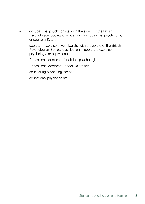- occupational psychologists (with the award of the British Psychological Society qualification in occupational psychology, or equivalent); and
- sport and exercise psychologists (with the award of the British Psychological Society qualification in sport and exercise psychology, or equivalent);

Professional doctorate for clinical psychologists.

Professional doctorate, or equivalent for:

- counselling psychologists; and
- educational psychologists.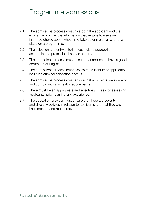## Programme admissions

- 2.1 The admissions process must give both the applicant and the education provider the information they require to make an informed choice about whether to take up or make an offer of a place on a programme.
- 2.2 The selection and entry criteria must include appropriate academic and professional entry standards.
- 2.3 The admissions process must ensure that applicants have a good command of English.
- 2.4 The admissions process must assess the suitability of applicants, including criminal conviction checks.
- 2.5 The admissions process must ensure that applicants are aware of and comply with any health requirements.
- 2.6 There must be an appropriate and effective process for assessing applicants' prior learning and experience.
- 2.7 The education provider must ensure that there are equality and diversity policies in relation to applicants and that they are implemented and monitored.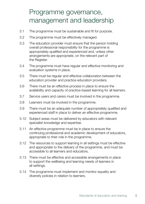# Programme governance, management and leadership

- 3.1 The programme must be sustainable and fit for purpose.
- 3.2 The programme must be effectively managed.
- 3.3 The education provider must ensure that the person holding overall professional responsibility for the programme is appropriately qualified and experienced and, unless other arrangements are appropriate, on the relevant part of the Register.
- 3.4 The programme must have regular and effective monitoring and evaluation systems in place.
- 3.5 There must be regular and effective collaboration between the education provider and practice education providers.
- 3.6 There must be an effective process in place to ensure the availability and capacity of practice-based learning for all learners.
- 3.7 Service users and carers must be involved in the programme.
- 3.8 Learners must be involved in the programme.
- 3.9 There must be an adequate number of appropriately qualified and experienced staff in place to deliver an effective programme.
- 3.10 Subject areas must be delivered by educators with relevant specialist knowledge and expertise.
- 3.11 An effective programme must be in place to ensure the continuing professional and academic development of educators, appropriate to their role in the programme.
- 3.12 The resources to support learning in all settings must be effective and appropriate to the delivery of the programme, and must be accessible to all learners and educators.
- 3.13 There must be effective and accessible arrangements in place to support the wellbeing and learning needs of learners in all settings.
- 3.14 The programme must implement and monitor equality and diversity policies in relation to learners.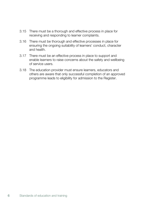- 3.15 There must be a thorough and effective process in place for receiving and responding to learner complaints.
- 3.16 There must be thorough and effective processes in place for ensuring the ongoing suitability of learners' conduct, character and health.
- 3.17 There must be an effective process in place to support and enable learners to raise concerns about the safety and wellbeing of service users.
- 3.18 The education provider must ensure learners, educators and others are aware that only successful completion of an approved programme leads to eligibility for admission to the Register.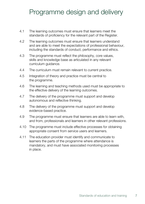# Programme design and delivery

- 4.1 The learning outcomes must ensure that learners meet the standards of proficiency for the relevant part of the Register.
- 4.2 The learning outcomes must ensure that learners understand and are able to meet the expectations of professional behaviour, including the standards of conduct, performance and ethics.
- 4.3 The programme must reflect the philosophy, core values, skills and knowledge base as articulated in any relevant curriculum guidance.
- 4.4 The curriculum must remain relevant to current practice.
- 4.5 Integration of theory and practice must be central to the programme.
- 4.6 The learning and teaching methods used must be appropriate to the effective delivery of the learning outcomes.
- 4.7 The delivery of the programme must support and develop autonomous and reflective thinking.
- 4.8 The delivery of the programme must support and develop evidence-based practice.
- 4.9 The programme must ensure that learners are able to learn with, and from, professionals and learners in other relevant professions.
- 4.10 The programme must include effective processes for obtaining appropriate consent from service users and learners.
- 4.11 The education provider must identify and communicate to learners the parts of the programme where attendance is mandatory, and must have associated monitoring processes in place.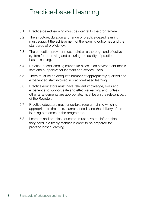### Practice-based learning

- 5.1 Practice-based learning must be integral to the programme.
- 5.2 The structure, duration and range of practice-based learning must support the achievement of the learning outcomes and the standards of proficiency.
- 5.3 The education provider must maintain a thorough and effective system for approving and ensuring the quality of practicebased learning.
- 5.4 Practice-based learning must take place in an environment that is safe and supportive for learners and service users.
- 5.5 There must be an adequate number of appropriately qualified and experienced staff involved in practice-based learning.
- 5.6 Practice educators must have relevant knowledge, skills and experience to support safe and effective learning and, unless other arrangements are appropriate, must be on the relevant part of the Register.
- 5.7 Practice educators must undertake regular training which is appropriate to their role, learners' needs and the delivery of the learning outcomes of the programme.
- 5.8 Learners and practice educators must have the information they need in a timely manner in order to be prepared for practice‑based learning.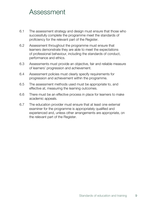#### Assessment

- 6.1 The assessment strategy and design must ensure that those who successfully complete the programme meet the standards of proficiency for the relevant part of the Register.
- 6.2 Assessment throughout the programme must ensure that learners demonstrate they are able to meet the expectations of professional behaviour, including the standards of conduct, performance and ethics.
- 6.3 Assessments must provide an objective, fair and reliable measure of learners' progression and achievement.
- 6.4 Assessment policies must clearly specify requirements for progression and achievement within the programme.
- 6.5 The assessment methods used must be appropriate to, and effective at, measuring the learning outcomes.
- 6.6 There must be an effective process in place for learners to make academic appeals.
- 6.7 The education provider must ensure that at least one external examiner for the programme is appropriately qualified and experienced and, unless other arrangements are appropriate, on the relevant part of the Register.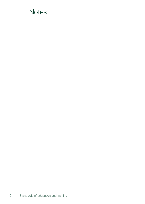#### **Notes**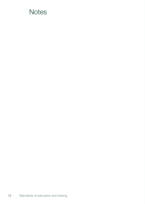#### **Notes**